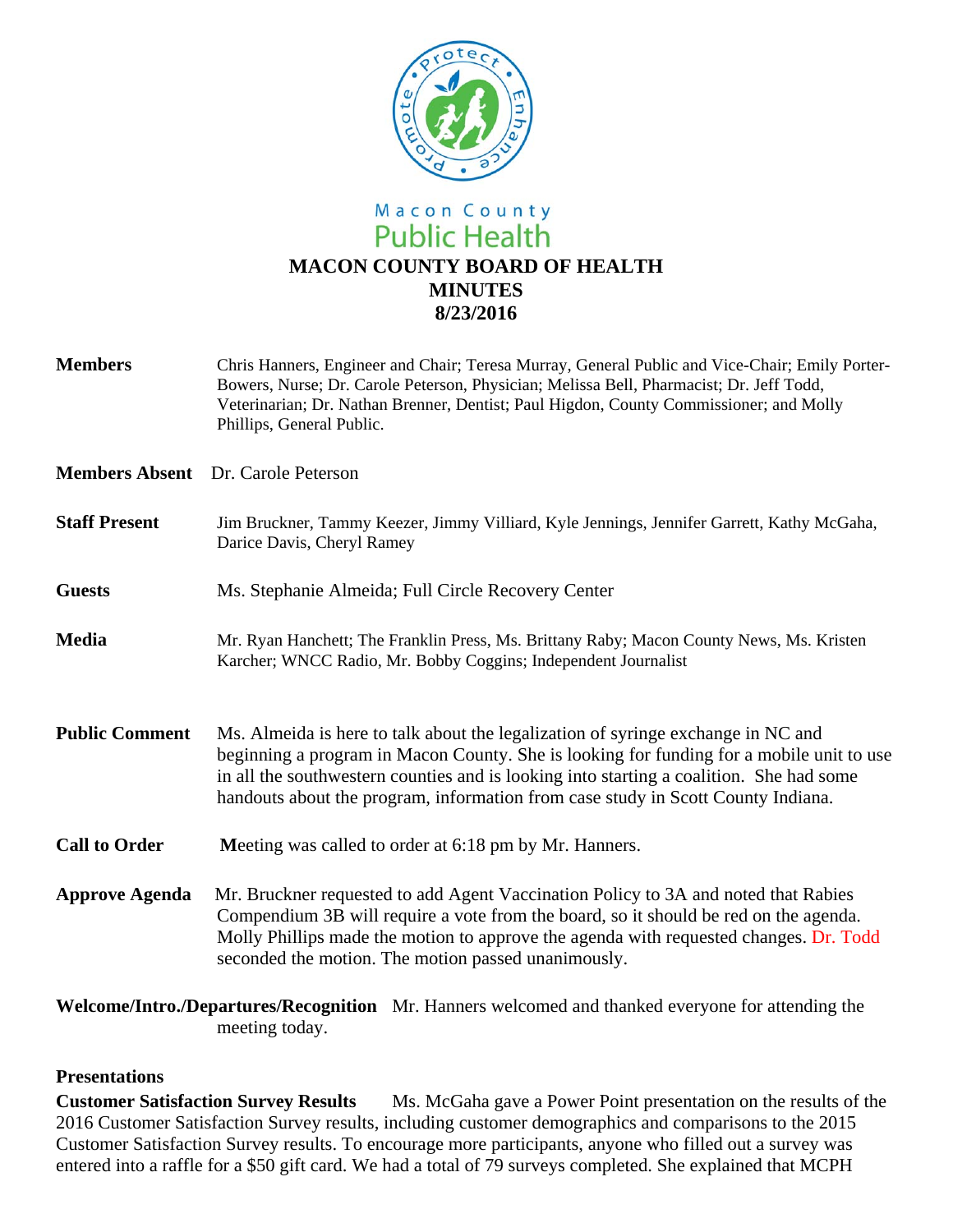

# Macon County **Public Health MACON COUNTY BOARD OF HEALTH MINUTES 8/23/2016**

**Members** Chris Hanners, Engineer and Chair; Teresa Murray, General Public and Vice-Chair; Emily Porter-Bowers, Nurse; Dr. Carole Peterson, Physician; Melissa Bell, Pharmacist; Dr. Jeff Todd, Veterinarian; Dr. Nathan Brenner, Dentist; Paul Higdon, County Commissioner; and Molly Phillips, General Public. **Members Absent** Dr. Carole Peterson **Staff Present** Jim Bruckner, Tammy Keezer, Jimmy Villiard, Kyle Jennings, Jennifer Garrett, Kathy McGaha, Darice Davis, Cheryl Ramey **Guests** Ms. Stephanie Almeida; Full Circle Recovery Center **Media** Mr. Ryan Hanchett; The Franklin Press, Ms. Brittany Raby; Macon County News, Ms. Kristen Karcher; WNCC Radio, Mr. Bobby Coggins; Independent Journalist **Public Comment** Ms. Almeida is here to talk about the legalization of syringe exchange in NC and beginning a program in Macon County. She is looking for funding for a mobile unit to use in all the southwestern counties and is looking into starting a coalition. She had some handouts about the program, information from case study in Scott County Indiana. **Call to Order** Meeting was called to order at 6:18 pm by Mr. Hanners. **Approve Agenda** Mr. Bruckner requested to add Agent Vaccination Policy to 3A and noted that Rabies Compendium 3B will require a vote from the board, so it should be red on the agenda. Molly Phillips made the motion to approve the agenda with requested changes. Dr. Todd seconded the motion. The motion passed unanimously. **Welcome/Intro./Departures/Recognition** Mr. Hanners welcomed and thanked everyone for attending the

#### **Presentations**

meeting today.

**Customer Satisfaction Survey Results** Ms. McGaha gave a Power Point presentation on the results of the 2016 Customer Satisfaction Survey results, including customer demographics and comparisons to the 2015 Customer Satisfaction Survey results. To encourage more participants, anyone who filled out a survey was entered into a raffle for a \$50 gift card. We had a total of 79 surveys completed. She explained that MCPH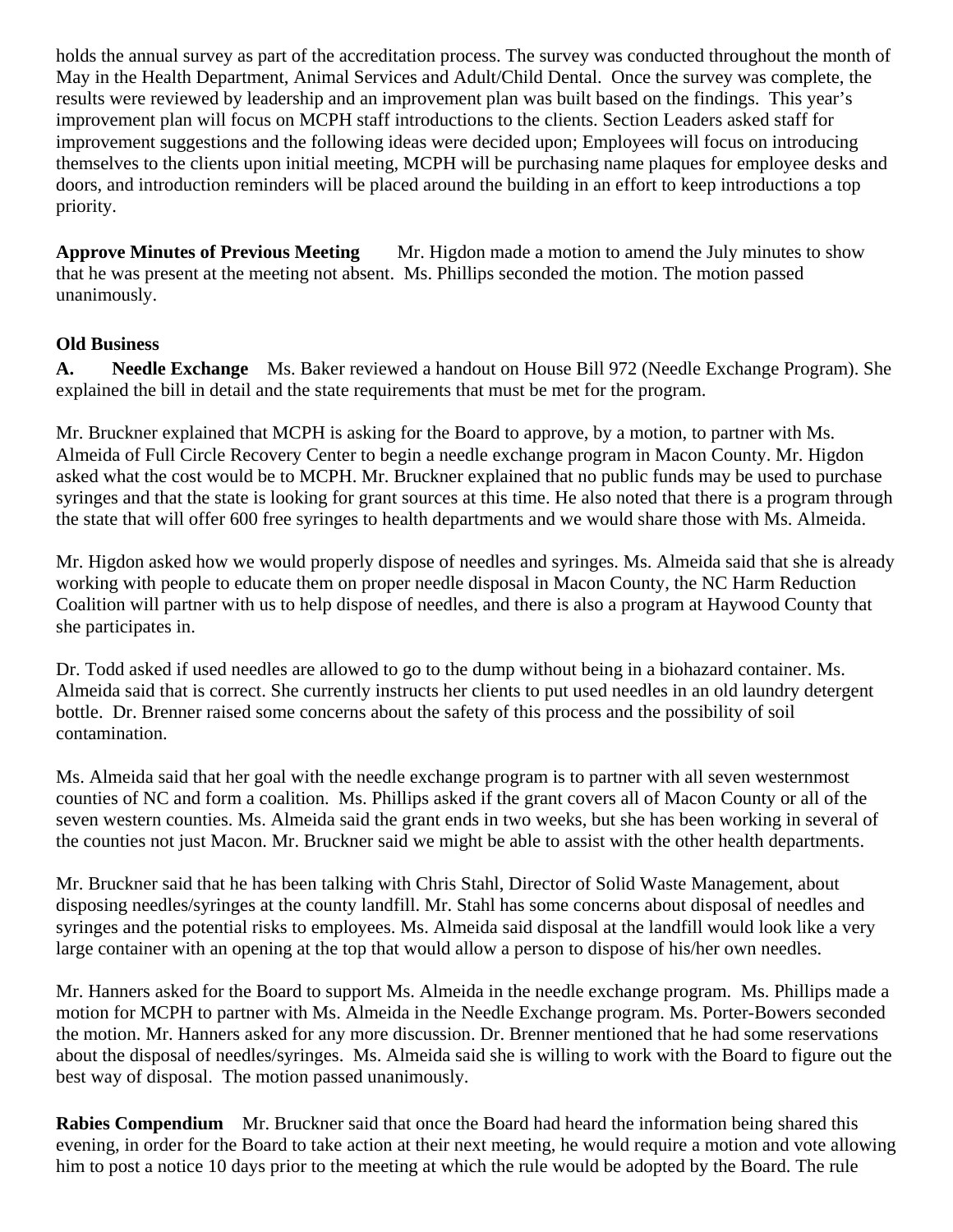holds the annual survey as part of the accreditation process. The survey was conducted throughout the month of May in the Health Department, Animal Services and Adult/Child Dental. Once the survey was complete, the results were reviewed by leadership and an improvement plan was built based on the findings. This year's improvement plan will focus on MCPH staff introductions to the clients. Section Leaders asked staff for improvement suggestions and the following ideas were decided upon; Employees will focus on introducing themselves to the clients upon initial meeting, MCPH will be purchasing name plaques for employee desks and doors, and introduction reminders will be placed around the building in an effort to keep introductions a top priority.

**Approve Minutes of Previous Meeting** Mr. Higdon made a motion to amend the July minutes to show that he was present at the meeting not absent. Ms. Phillips seconded the motion. The motion passed unanimously.

## **Old Business**

**A. Needle Exchange** Ms. Baker reviewed a handout on House Bill 972 (Needle Exchange Program). She explained the bill in detail and the state requirements that must be met for the program.

Mr. Bruckner explained that MCPH is asking for the Board to approve, by a motion, to partner with Ms. Almeida of Full Circle Recovery Center to begin a needle exchange program in Macon County. Mr. Higdon asked what the cost would be to MCPH. Mr. Bruckner explained that no public funds may be used to purchase syringes and that the state is looking for grant sources at this time. He also noted that there is a program through the state that will offer 600 free syringes to health departments and we would share those with Ms. Almeida.

Mr. Higdon asked how we would properly dispose of needles and syringes. Ms. Almeida said that she is already working with people to educate them on proper needle disposal in Macon County, the NC Harm Reduction Coalition will partner with us to help dispose of needles, and there is also a program at Haywood County that she participates in.

Dr. Todd asked if used needles are allowed to go to the dump without being in a biohazard container. Ms. Almeida said that is correct. She currently instructs her clients to put used needles in an old laundry detergent bottle. Dr. Brenner raised some concerns about the safety of this process and the possibility of soil contamination.

Ms. Almeida said that her goal with the needle exchange program is to partner with all seven westernmost counties of NC and form a coalition. Ms. Phillips asked if the grant covers all of Macon County or all of the seven western counties. Ms. Almeida said the grant ends in two weeks, but she has been working in several of the counties not just Macon. Mr. Bruckner said we might be able to assist with the other health departments.

Mr. Bruckner said that he has been talking with Chris Stahl, Director of Solid Waste Management, about disposing needles/syringes at the county landfill. Mr. Stahl has some concerns about disposal of needles and syringes and the potential risks to employees. Ms. Almeida said disposal at the landfill would look like a very large container with an opening at the top that would allow a person to dispose of his/her own needles.

Mr. Hanners asked for the Board to support Ms. Almeida in the needle exchange program. Ms. Phillips made a motion for MCPH to partner with Ms. Almeida in the Needle Exchange program. Ms. Porter-Bowers seconded the motion. Mr. Hanners asked for any more discussion. Dr. Brenner mentioned that he had some reservations about the disposal of needles/syringes. Ms. Almeida said she is willing to work with the Board to figure out the best way of disposal. The motion passed unanimously.

**Rabies Compendium** Mr. Bruckner said that once the Board had heard the information being shared this evening, in order for the Board to take action at their next meeting, he would require a motion and vote allowing him to post a notice 10 days prior to the meeting at which the rule would be adopted by the Board. The rule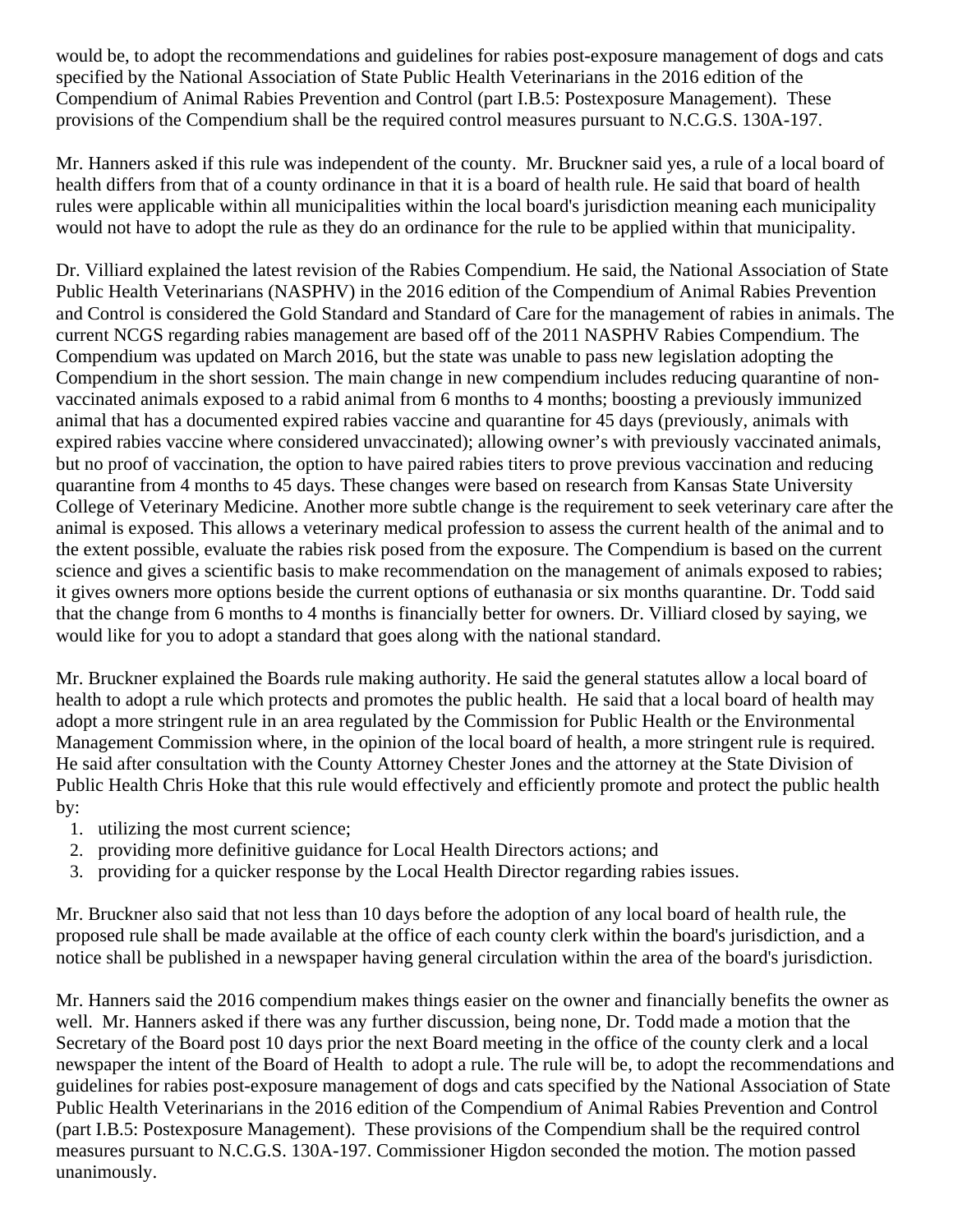would be, to adopt the recommendations and guidelines for rabies post-exposure management of dogs and cats specified by the National Association of State Public Health Veterinarians in the 2016 edition of the Compendium of Animal Rabies Prevention and Control (part I.B.5: Postexposure Management). These provisions of the Compendium shall be the required control measures pursuant to N.C.G.S. 130A-197.

Mr. Hanners asked if this rule was independent of the county. Mr. Bruckner said yes, a rule of a local board of health differs from that of a county ordinance in that it is a board of health rule. He said that board of health rules were applicable within all municipalities within the local board's jurisdiction meaning each municipality would not have to adopt the rule as they do an ordinance for the rule to be applied within that municipality.

Dr. Villiard explained the latest revision of the Rabies Compendium. He said, the National Association of State Public Health Veterinarians (NASPHV) in the 2016 edition of the Compendium of Animal Rabies Prevention and Control is considered the Gold Standard and Standard of Care for the management of rabies in animals. The current NCGS regarding rabies management are based off of the 2011 NASPHV Rabies Compendium. The Compendium was updated on March 2016, but the state was unable to pass new legislation adopting the Compendium in the short session. The main change in new compendium includes reducing quarantine of nonvaccinated animals exposed to a rabid animal from 6 months to 4 months; boosting a previously immunized animal that has a documented expired rabies vaccine and quarantine for 45 days (previously, animals with expired rabies vaccine where considered unvaccinated); allowing owner's with previously vaccinated animals, but no proof of vaccination, the option to have paired rabies titers to prove previous vaccination and reducing quarantine from 4 months to 45 days. These changes were based on research from Kansas State University College of Veterinary Medicine. Another more subtle change is the requirement to seek veterinary care after the animal is exposed. This allows a veterinary medical profession to assess the current health of the animal and to the extent possible, evaluate the rabies risk posed from the exposure. The Compendium is based on the current science and gives a scientific basis to make recommendation on the management of animals exposed to rabies; it gives owners more options beside the current options of euthanasia or six months quarantine. Dr. Todd said that the change from 6 months to 4 months is financially better for owners. Dr. Villiard closed by saying, we would like for you to adopt a standard that goes along with the national standard.

Mr. Bruckner explained the Boards rule making authority. He said the general statutes allow a local board of health to adopt a rule which protects and promotes the public health. He said that a local board of health may adopt a more stringent rule in an area regulated by the Commission for Public Health or the Environmental Management Commission where, in the opinion of the local board of health, a more stringent rule is required. He said after consultation with the County Attorney Chester Jones and the attorney at the State Division of Public Health Chris Hoke that this rule would effectively and efficiently promote and protect the public health by:

- 1. utilizing the most current science;
- 2. providing more definitive guidance for Local Health Directors actions; and
- 3. providing for a quicker response by the Local Health Director regarding rabies issues.

Mr. Bruckner also said that not less than 10 days before the adoption of any local board of health rule, the proposed rule shall be made available at the office of each county clerk within the board's jurisdiction, and a notice shall be published in a newspaper having general circulation within the area of the board's jurisdiction.

Mr. Hanners said the 2016 compendium makes things easier on the owner and financially benefits the owner as well. Mr. Hanners asked if there was any further discussion, being none, Dr. Todd made a motion that the Secretary of the Board post 10 days prior the next Board meeting in the office of the county clerk and a local newspaper the intent of the Board of Health to adopt a rule. The rule will be, to adopt the recommendations and guidelines for rabies post-exposure management of dogs and cats specified by the National Association of State Public Health Veterinarians in the 2016 edition of the Compendium of Animal Rabies Prevention and Control (part I.B.5: Postexposure Management). These provisions of the Compendium shall be the required control measures pursuant to N.C.G.S. 130A-197. Commissioner Higdon seconded the motion. The motion passed unanimously.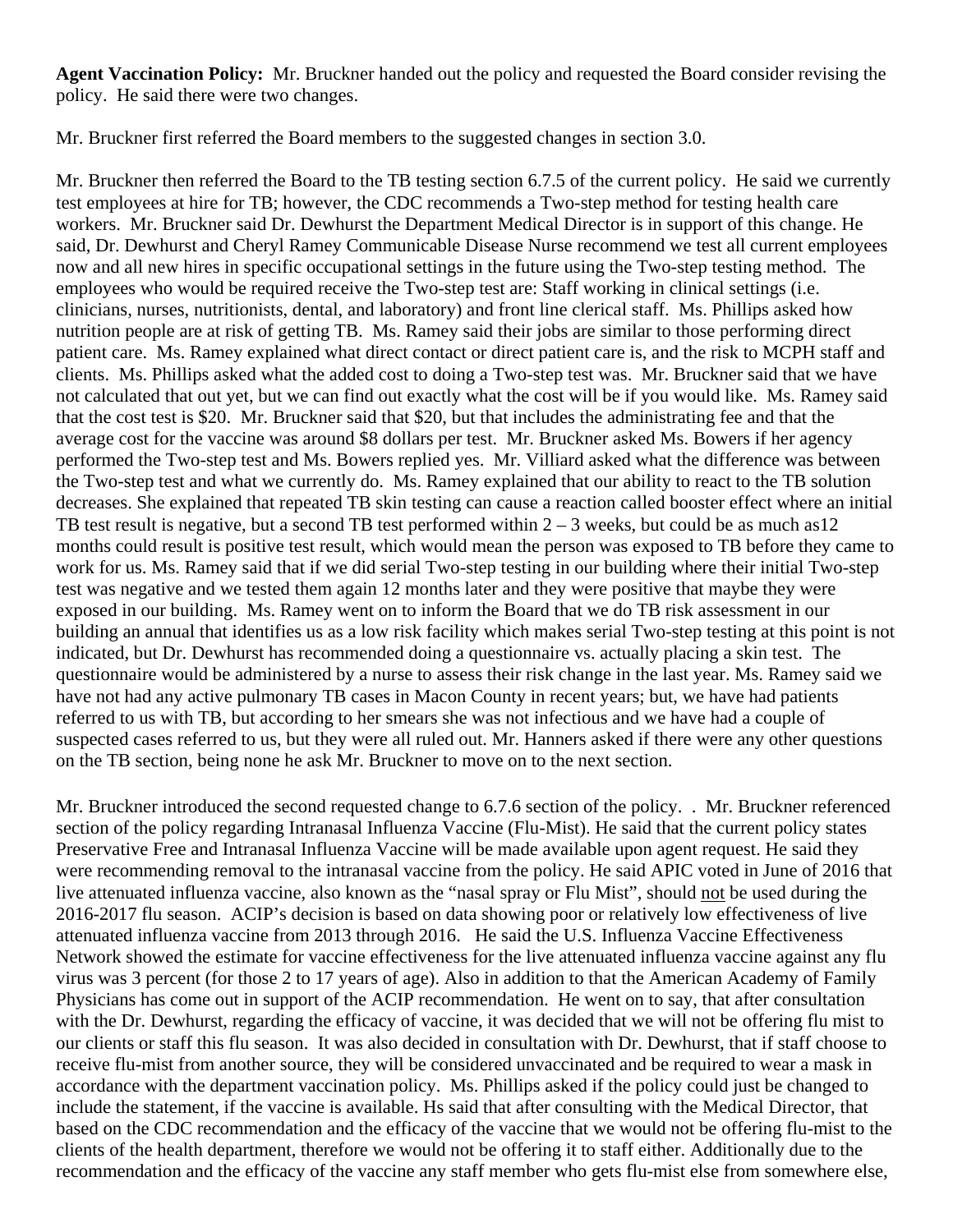**Agent Vaccination Policy:** Mr. Bruckner handed out the policy and requested the Board consider revising the policy. He said there were two changes.

Mr. Bruckner first referred the Board members to the suggested changes in section 3.0.

Mr. Bruckner then referred the Board to the TB testing section 6.7.5 of the current policy. He said we currently test employees at hire for TB; however, the CDC recommends a Two-step method for testing health care workers. Mr. Bruckner said Dr. Dewhurst the Department Medical Director is in support of this change. He said, Dr. Dewhurst and Cheryl Ramey Communicable Disease Nurse recommend we test all current employees now and all new hires in specific occupational settings in the future using the Two-step testing method. The employees who would be required receive the Two-step test are: Staff working in clinical settings (i.e. clinicians, nurses, nutritionists, dental, and laboratory) and front line clerical staff. Ms. Phillips asked how nutrition people are at risk of getting TB. Ms. Ramey said their jobs are similar to those performing direct patient care. Ms. Ramey explained what direct contact or direct patient care is, and the risk to MCPH staff and clients. Ms. Phillips asked what the added cost to doing a Two-step test was. Mr. Bruckner said that we have not calculated that out yet, but we can find out exactly what the cost will be if you would like. Ms. Ramey said that the cost test is \$20. Mr. Bruckner said that \$20, but that includes the administrating fee and that the average cost for the vaccine was around \$8 dollars per test. Mr. Bruckner asked Ms. Bowers if her agency performed the Two-step test and Ms. Bowers replied yes. Mr. Villiard asked what the difference was between the Two-step test and what we currently do. Ms. Ramey explained that our ability to react to the TB solution decreases. She explained that repeated TB skin testing can cause a reaction called booster effect where an initial TB test result is negative, but a second TB test performed within  $2 - 3$  weeks, but could be as much as 12 months could result is positive test result, which would mean the person was exposed to TB before they came to work for us. Ms. Ramey said that if we did serial Two-step testing in our building where their initial Two-step test was negative and we tested them again 12 months later and they were positive that maybe they were exposed in our building. Ms. Ramey went on to inform the Board that we do TB risk assessment in our building an annual that identifies us as a low risk facility which makes serial Two-step testing at this point is not indicated, but Dr. Dewhurst has recommended doing a questionnaire vs. actually placing a skin test. The questionnaire would be administered by a nurse to assess their risk change in the last year. Ms. Ramey said we have not had any active pulmonary TB cases in Macon County in recent years; but, we have had patients referred to us with TB, but according to her smears she was not infectious and we have had a couple of suspected cases referred to us, but they were all ruled out. Mr. Hanners asked if there were any other questions on the TB section, being none he ask Mr. Bruckner to move on to the next section.

Mr. Bruckner introduced the second requested change to 6.7.6 section of the policy. . Mr. Bruckner referenced section of the policy regarding Intranasal Influenza Vaccine (Flu-Mist). He said that the current policy states Preservative Free and Intranasal Influenza Vaccine will be made available upon agent request. He said they were recommending removal to the intranasal vaccine from the policy. He said APIC voted in June of 2016 that live attenuated influenza vaccine, also known as the "nasal spray or Flu Mist", should not be used during the 2016-2017 flu season. ACIP's decision is based on data showing poor or relatively low effectiveness of live attenuated influenza vaccine from 2013 through 2016. He said the U.S. Influenza Vaccine Effectiveness Network showed the estimate for vaccine effectiveness for the live attenuated influenza vaccine against any flu virus was 3 percent (for those 2 to 17 years of age). Also in addition to that the American Academy of Family Physicians has come out in support of the ACIP recommendation. He went on to say, that after consultation with the Dr. Dewhurst, regarding the efficacy of vaccine, it was decided that we will not be offering flu mist to our clients or staff this flu season. It was also decided in consultation with Dr. Dewhurst, that if staff choose to receive flu-mist from another source, they will be considered unvaccinated and be required to wear a mask in accordance with the department vaccination policy. Ms. Phillips asked if the policy could just be changed to include the statement, if the vaccine is available. Hs said that after consulting with the Medical Director, that based on the CDC recommendation and the efficacy of the vaccine that we would not be offering flu-mist to the clients of the health department, therefore we would not be offering it to staff either. Additionally due to the recommendation and the efficacy of the vaccine any staff member who gets flu-mist else from somewhere else,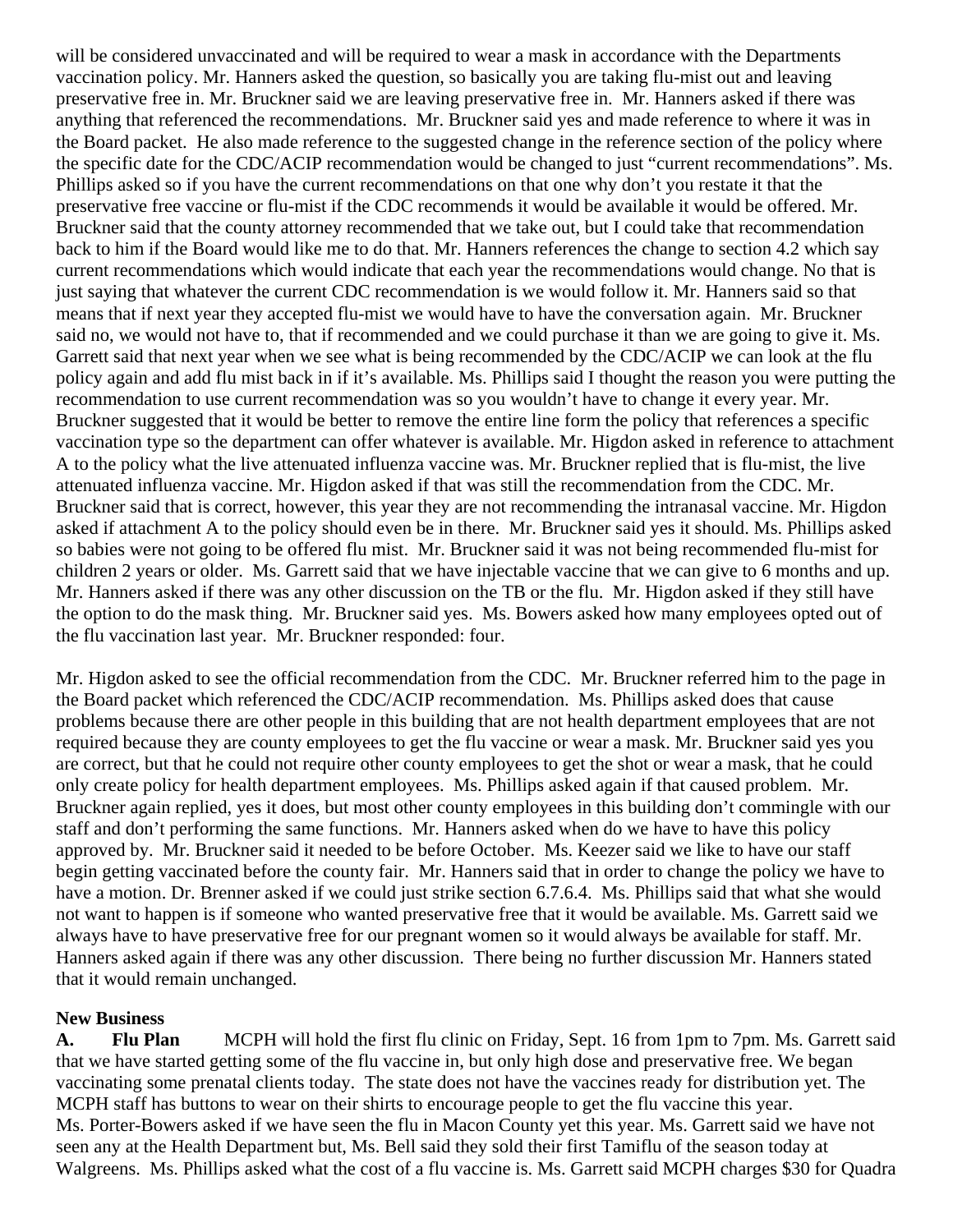will be considered unvaccinated and will be required to wear a mask in accordance with the Departments vaccination policy. Mr. Hanners asked the question, so basically you are taking flu-mist out and leaving preservative free in. Mr. Bruckner said we are leaving preservative free in. Mr. Hanners asked if there was anything that referenced the recommendations. Mr. Bruckner said yes and made reference to where it was in the Board packet. He also made reference to the suggested change in the reference section of the policy where the specific date for the CDC/ACIP recommendation would be changed to just "current recommendations". Ms. Phillips asked so if you have the current recommendations on that one why don't you restate it that the preservative free vaccine or flu-mist if the CDC recommends it would be available it would be offered. Mr. Bruckner said that the county attorney recommended that we take out, but I could take that recommendation back to him if the Board would like me to do that. Mr. Hanners references the change to section 4.2 which say current recommendations which would indicate that each year the recommendations would change. No that is just saying that whatever the current CDC recommendation is we would follow it. Mr. Hanners said so that means that if next year they accepted flu-mist we would have to have the conversation again. Mr. Bruckner said no, we would not have to, that if recommended and we could purchase it than we are going to give it. Ms. Garrett said that next year when we see what is being recommended by the CDC/ACIP we can look at the flu policy again and add flu mist back in if it's available. Ms. Phillips said I thought the reason you were putting the recommendation to use current recommendation was so you wouldn't have to change it every year. Mr. Bruckner suggested that it would be better to remove the entire line form the policy that references a specific vaccination type so the department can offer whatever is available. Mr. Higdon asked in reference to attachment A to the policy what the live attenuated influenza vaccine was. Mr. Bruckner replied that is flu-mist, the live attenuated influenza vaccine. Mr. Higdon asked if that was still the recommendation from the CDC. Mr. Bruckner said that is correct, however, this year they are not recommending the intranasal vaccine. Mr. Higdon asked if attachment A to the policy should even be in there. Mr. Bruckner said yes it should. Ms. Phillips asked so babies were not going to be offered flu mist. Mr. Bruckner said it was not being recommended flu-mist for children 2 years or older. Ms. Garrett said that we have injectable vaccine that we can give to 6 months and up. Mr. Hanners asked if there was any other discussion on the TB or the flu. Mr. Higdon asked if they still have the option to do the mask thing. Mr. Bruckner said yes. Ms. Bowers asked how many employees opted out of the flu vaccination last year. Mr. Bruckner responded: four.

Mr. Higdon asked to see the official recommendation from the CDC. Mr. Bruckner referred him to the page in the Board packet which referenced the CDC/ACIP recommendation. Ms. Phillips asked does that cause problems because there are other people in this building that are not health department employees that are not required because they are county employees to get the flu vaccine or wear a mask. Mr. Bruckner said yes you are correct, but that he could not require other county employees to get the shot or wear a mask, that he could only create policy for health department employees. Ms. Phillips asked again if that caused problem. Mr. Bruckner again replied, yes it does, but most other county employees in this building don't commingle with our staff and don't performing the same functions. Mr. Hanners asked when do we have to have this policy approved by. Mr. Bruckner said it needed to be before October. Ms. Keezer said we like to have our staff begin getting vaccinated before the county fair. Mr. Hanners said that in order to change the policy we have to have a motion. Dr. Brenner asked if we could just strike section 6.7.6.4. Ms. Phillips said that what she would not want to happen is if someone who wanted preservative free that it would be available. Ms. Garrett said we always have to have preservative free for our pregnant women so it would always be available for staff. Mr. Hanners asked again if there was any other discussion. There being no further discussion Mr. Hanners stated that it would remain unchanged.

## **New Business**

**A. Flu Plan** MCPH will hold the first flu clinic on Friday, Sept. 16 from 1pm to 7pm. Ms. Garrett said that we have started getting some of the flu vaccine in, but only high dose and preservative free. We began vaccinating some prenatal clients today. The state does not have the vaccines ready for distribution yet. The MCPH staff has buttons to wear on their shirts to encourage people to get the flu vaccine this year. Ms. Porter-Bowers asked if we have seen the flu in Macon County yet this year. Ms. Garrett said we have not seen any at the Health Department but, Ms. Bell said they sold their first Tamiflu of the season today at Walgreens. Ms. Phillips asked what the cost of a flu vaccine is. Ms. Garrett said MCPH charges \$30 for Quadra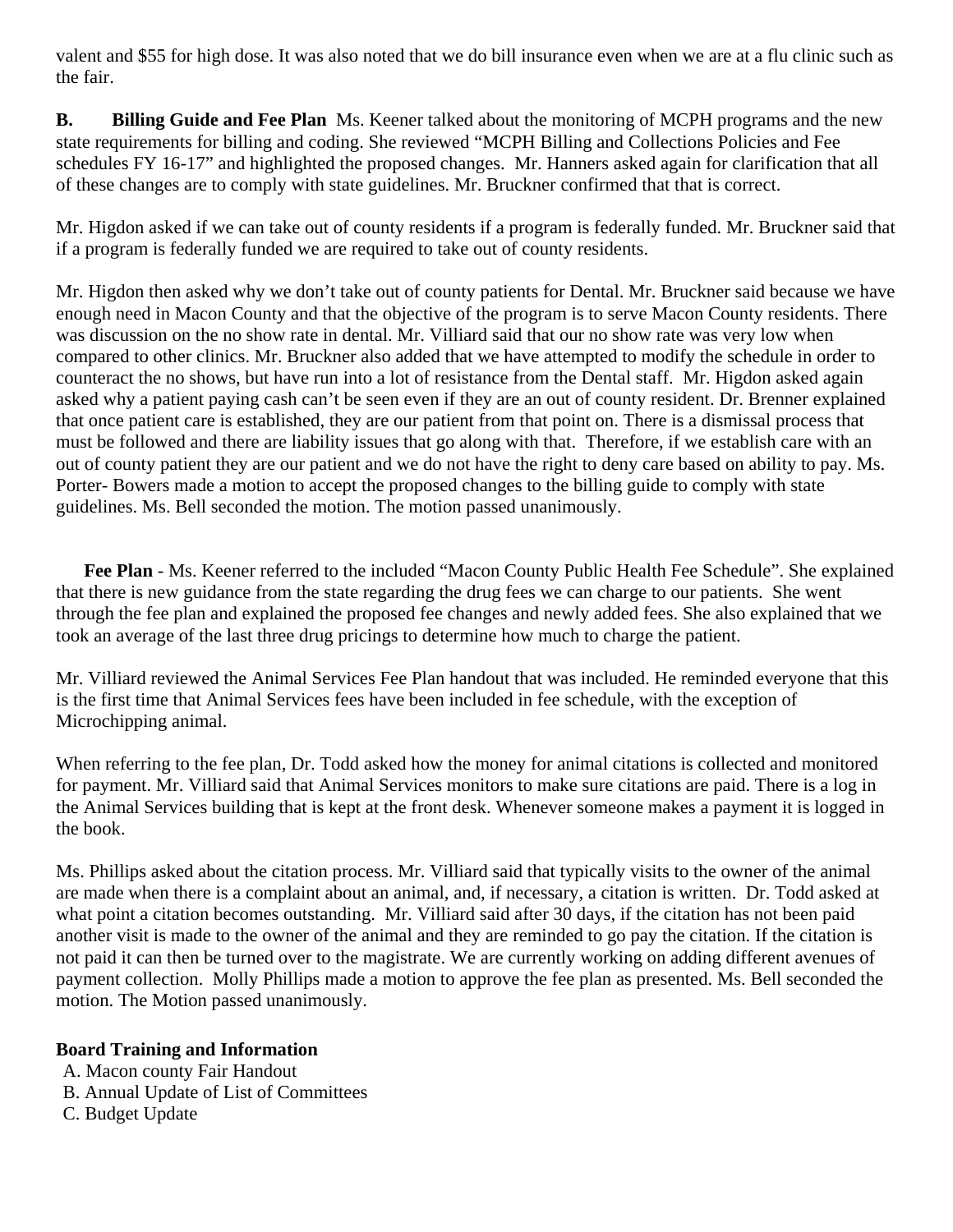valent and \$55 for high dose. It was also noted that we do bill insurance even when we are at a flu clinic such as the fair.

**B. Billing Guide and Fee Plan** Ms. Keener talked about the monitoring of MCPH programs and the new state requirements for billing and coding. She reviewed "MCPH Billing and Collections Policies and Fee schedules FY 16-17" and highlighted the proposed changes. Mr. Hanners asked again for clarification that all of these changes are to comply with state guidelines. Mr. Bruckner confirmed that that is correct.

Mr. Higdon asked if we can take out of county residents if a program is federally funded. Mr. Bruckner said that if a program is federally funded we are required to take out of county residents.

Mr. Higdon then asked why we don't take out of county patients for Dental. Mr. Bruckner said because we have enough need in Macon County and that the objective of the program is to serve Macon County residents. There was discussion on the no show rate in dental. Mr. Villiard said that our no show rate was very low when compared to other clinics. Mr. Bruckner also added that we have attempted to modify the schedule in order to counteract the no shows, but have run into a lot of resistance from the Dental staff. Mr. Higdon asked again asked why a patient paying cash can't be seen even if they are an out of county resident. Dr. Brenner explained that once patient care is established, they are our patient from that point on. There is a dismissal process that must be followed and there are liability issues that go along with that. Therefore, if we establish care with an out of county patient they are our patient and we do not have the right to deny care based on ability to pay. Ms. Porter- Bowers made a motion to accept the proposed changes to the billing guide to comply with state guidelines. Ms. Bell seconded the motion. The motion passed unanimously.

 **Fee Plan** - Ms. Keener referred to the included "Macon County Public Health Fee Schedule". She explained that there is new guidance from the state regarding the drug fees we can charge to our patients. She went through the fee plan and explained the proposed fee changes and newly added fees. She also explained that we took an average of the last three drug pricings to determine how much to charge the patient.

Mr. Villiard reviewed the Animal Services Fee Plan handout that was included. He reminded everyone that this is the first time that Animal Services fees have been included in fee schedule, with the exception of Microchipping animal.

When referring to the fee plan, Dr. Todd asked how the money for animal citations is collected and monitored for payment. Mr. Villiard said that Animal Services monitors to make sure citations are paid. There is a log in the Animal Services building that is kept at the front desk. Whenever someone makes a payment it is logged in the book.

Ms. Phillips asked about the citation process. Mr. Villiard said that typically visits to the owner of the animal are made when there is a complaint about an animal, and, if necessary, a citation is written. Dr. Todd asked at what point a citation becomes outstanding. Mr. Villiard said after 30 days, if the citation has not been paid another visit is made to the owner of the animal and they are reminded to go pay the citation. If the citation is not paid it can then be turned over to the magistrate. We are currently working on adding different avenues of payment collection. Molly Phillips made a motion to approve the fee plan as presented. Ms. Bell seconded the motion. The Motion passed unanimously.

## **Board Training and Information**

- A. Macon county Fair Handout
- B. Annual Update of List of Committees
- C. Budget Update